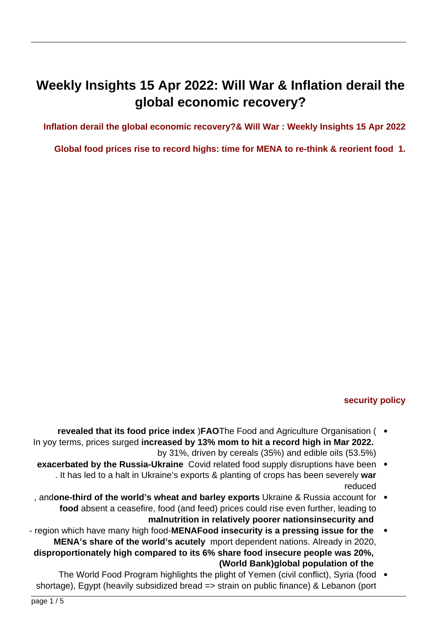# **Weekly Insights 15 Apr 2022: Will War & Inflation derail the** global economic recovery?

### **Inflation derail the global economic recovery?& Will War : Weekly Insights 15 Apr 2022**

#### **1. Global food prices rise to record highs: time for MENA to re-think & reorient food 1.**



The FAO Food Price Index hits a new all-time high

**security policy** 

- **revealed that its food price index )FAOThe Food and Agriculture Organisation (** In yoy terms, prices surged **increased by 13% mom to hit a record high in Mar 2022.** by 31%, driven by cereals  $(35%)$  and edible oils  $(53.5%)$ 
	- **exacerbated by the Russia-Ukraine** Covid related food supply disruptions have been . . It has led to a halt in Ukraine's exports & planting of crops has been severely war reduced
- for andone-third of the world's wheat and barley exports Ukraine & Russia account for  $\bullet$ food absent a ceasefire, food (and feed) prices could rise even further, leading to malnutrition in relatively poorer nationsinsecurity and
- **region which have many high food-MENAFood insecurity is a pressing issue for the MENA's share of the world's acutely** mport dependent nations. Already in 2020. **disproportionately high compared to its 6% share food insecure people was 20%. (World Bank)global population of the**
- The World Food Program highlights the plight of Yemen (civil conflict), Syria (food shortage), Egypt (heavily subsidized bread => strain on public finance) & Lebanon (port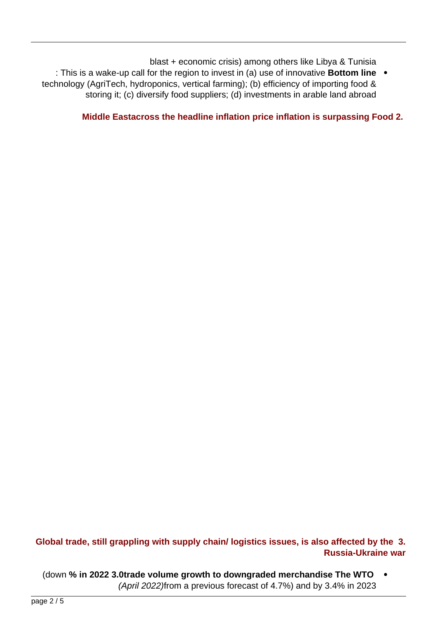blast  $+$  economic crisis) among others like Libya & Tunisia

**linum** in This is a wake-up call for the region to invest in (a) use of innovative **Bottom line** technology (AgriTech, hydroponics, vertical farming); (b) efficiency of importing food & storing it; (c) diversify food suppliers; (d) investments in arable land abroad



#### **Middle Eastacross the headline inflation price inflation is surpassing Food 2.**

Note: Data for Qatar and Saudi Arabia are as of Mar 2022, UAE as of Dec 2021, rest are as of Feb 2022

## Global trade, still grappling with supply chain/ logistics issues, is also affected by the 3. **Russia-Ukraine war**

(down % in 2022 3.0trade volume growth to downgraded merchandise The WTO  $(Apiril 2022)$ from a previous forecast of 4.7%) and by 3.4% in 2023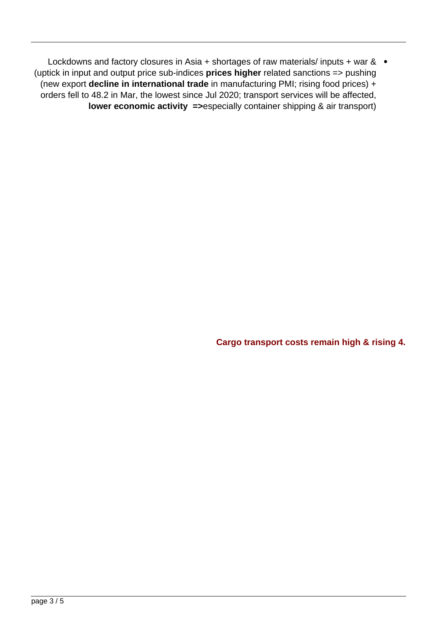Lockdowns and factory closures in Asia + shortages of raw materials/ inputs + war &  $\bullet$ (uptick in input and output price sub-indices **prices higher** related sanctions => pushing (new export decline in international trade in manufacturing PMI; rising food prices) + orders fell to 48.2 in Mar, the lowest since Jul 2020; transport services will be affected, **lower economic activity =>especially container shipping & air transport)** 

| Merchandise trade volume, 2018-2023 |        |        |         |      |         |        |  |  |  |  |
|-------------------------------------|--------|--------|---------|------|---------|--------|--|--|--|--|
|                                     | 2018   | 2019   | 2020    | 2021 | 2022f   | 2023f  |  |  |  |  |
| Volume of world merchandise trade   | 3.0    | 0.2    | $-5.0$  | 9.8  | 3.0     | 3.4    |  |  |  |  |
| <b>Exports</b>                      |        |        |         |      |         |        |  |  |  |  |
| North America                       | 3.8    | 0.3    | $-8.8$  | 6.3  | 3.4     | 5.3    |  |  |  |  |
| South America                       | $-0.9$ | $-1.2$ | $-4.6$  | 6.8  | $-0.3$  | 1.8    |  |  |  |  |
| Europe                              | 1.8    | 0.6    | $-7.8$  | 7.9  | 2.9     | 2.7    |  |  |  |  |
| CIS                                 | 4.0    | $-0.3$ | $-1.2$  | 1.4  | 4.9     | 2.8    |  |  |  |  |
| Africa                              | 3.1    | $-0.3$ | $-7.5$  | 5.1  | 1.4     | 1.1    |  |  |  |  |
| Middle East                         | 4.6    | $-1.9$ | $-9.3$  | 7.3  | 11.0    | 2.9    |  |  |  |  |
| Asia                                | 3.7    | 0.9    | 0.5     | 13.8 | 2.0     | 3.5    |  |  |  |  |
| <b>Imports</b>                      |        |        |         |      |         |        |  |  |  |  |
| North America                       | 5.1    | $-0.6$ | $-6.1$  | 12.6 | 3.9     | 2.5    |  |  |  |  |
| South America                       | 4.8    | $-1.7$ | $-11.2$ | 25.8 | 4.8     | 3.1    |  |  |  |  |
| Europe                              | 1.9    | 0.3    | $-7.3$  | 8.1  | 3.7     | 3.3    |  |  |  |  |
| CIS                                 | 4.0    | 8.3    | $-5.5$  | 10.7 | $-12.0$ | $-5.2$ |  |  |  |  |
| Africa                              | 5.4    | 3.0    | $-11.8$ | 4.2  | 2.5     | 3.9    |  |  |  |  |
| Middle East                         | $-4.1$ | 5.2    | $-9.8$  | 5.3  | 11.7    | 6.2    |  |  |  |  |
| Asia                                | 5.0    | $-0.4$ | $-1.0$  | 11.1 | 2.0     | 4.5    |  |  |  |  |

Source: World Trade Organisation Trade Forecast 2022-2023, Apr 2022

**Cargo transport costs remain high & rising 4.**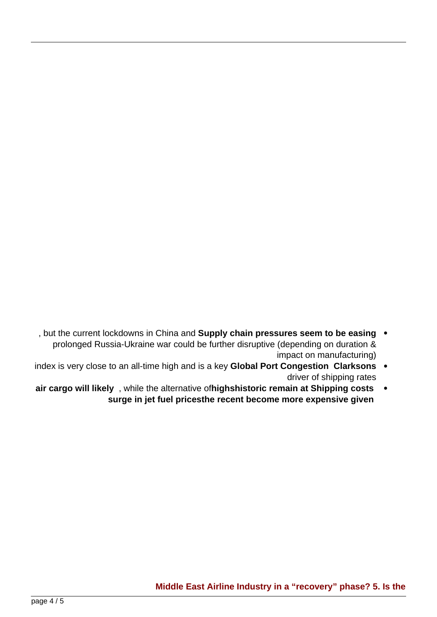

**Source: IATA Jet Fuel Price Monitor** 

- , but the current lockdowns in China and **Supply chain pressures seem to be easing** prolonged Russia-Ukraine war could be further disruptive (depending on duration & impact on manufacturing)
- index is very close to an all-time high and is a key Global Port Congestion Clarksons driver of shipping rates
- **air cargo will likely**, while the alternative of **highshistoric** remain at Shipping costs surge in jet fuel pricesthe recent become more expensive given



**Source: Federal Reserve Bank of New York** 

Source: Reuters Eikon. Chart by Nasser Saidi & Associates

#### **Middle East Airline Industry in a "recovery" phase? 5. Is the**